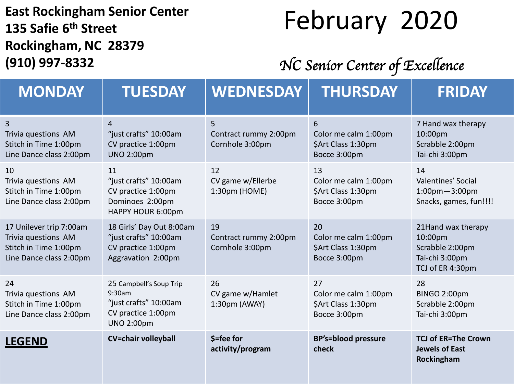#### **East Rockingham Senior Center 135 Safie 6 th Street Rockingham, NC 28379 (910) 997-8332**

### February 2020

#### *NC Senior Center of Excellence*

| <b>MONDAY</b>                                                                                      | <b>TUESDAY</b>                                                                                        | <b>WEDNESDAY</b>                               | <b>THURSDAY</b>                                                  | <b>FRIDAY</b>                                                                          |
|----------------------------------------------------------------------------------------------------|-------------------------------------------------------------------------------------------------------|------------------------------------------------|------------------------------------------------------------------|----------------------------------------------------------------------------------------|
| 3<br>Trivia questions AM<br>Stitch in Time 1:00pm<br>Line Dance class 2:00pm                       | 4<br>"just crafts" 10:00am<br>CV practice 1:00pm<br><b>UNO 2:00pm</b>                                 | 5<br>Contract rummy 2:00pm<br>Cornhole 3:00pm  | 6<br>Color me calm 1:00pm<br>\$Art Class 1:30pm<br>Bocce 3:00pm  | 7 Hand wax therapy<br>10:00pm<br>Scrabble 2:00pm<br>Tai-chi 3:00pm                     |
| 10<br>Trivia questions AM<br>Stitch in Time 1:00pm<br>Line Dance class 2:00pm                      | 11<br>"just crafts" 10:00am<br>CV practice 1:00pm<br>Dominoes 2:00pm<br>HAPPY HOUR 6:00pm             | 12<br>CV game w/Ellerbe<br>1:30pm (HOME)       | 13<br>Color me calm 1:00pm<br>\$Art Class 1:30pm<br>Bocce 3:00pm | 14<br>Valentines' Social<br>$1:00$ pm $-3:00$ pm<br>Snacks, games, fun!!!!             |
| 17 Unilever trip 7:00am<br>Trivia questions AM<br>Stitch in Time 1:00pm<br>Line Dance class 2:00pm | 18 Girls' Day Out 8:00am<br>"just crafts" 10:00am<br>CV practice 1:00pm<br>Aggravation 2:00pm         | 19<br>Contract rummy 2:00pm<br>Cornhole 3:00pm | 20<br>Color me calm 1:00pm<br>\$Art Class 1:30pm<br>Bocce 3:00pm | 21Hand wax therapy<br>10:00pm<br>Scrabble 2:00pm<br>Tai-chi 3:00pm<br>TCJ of ER 4:30pm |
| 24<br>Trivia questions AM<br>Stitch in Time 1:00pm<br>Line Dance class 2:00pm                      | 25 Campbell's Soup Trip<br>9:30am<br>"just crafts" 10:00am<br>CV practice 1:00pm<br><b>UNO 2:00pm</b> | 26<br>CV game w/Hamlet<br>1:30pm (AWAY)        | 27<br>Color me calm 1:00pm<br>\$Art Class 1:30pm<br>Bocce 3:00pm | 28<br>BINGO 2:00pm<br>Scrabble 2:00pm<br>Tai-chi 3:00pm                                |
| <b>LEGEND</b>                                                                                      | <b>CV=chair volleyball</b>                                                                            | \$=fee for<br>activity/program                 | <b>BP's=blood pressure</b><br>check                              | <b>TCJ of ER=The Crown</b><br><b>Jewels of East</b><br>Rockingham                      |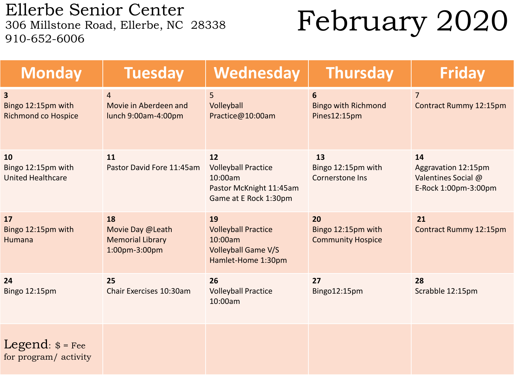Ellerbe Senior Center<br>306 Millstone Road, Ellerbe, NC 28338 910-652-6006

## February 2020

| <b>Monday</b>                                                               | <b>Tuesday</b>                                                     | Wednesday                                                                                       | <b>Thursday</b>                                      | <b>Friday</b>                                                            |
|-----------------------------------------------------------------------------|--------------------------------------------------------------------|-------------------------------------------------------------------------------------------------|------------------------------------------------------|--------------------------------------------------------------------------|
| $\overline{\mathbf{3}}$<br>Bingo 12:15pm with<br><b>Richmond co Hospice</b> | $\overline{4}$<br>Movie in Aberdeen and<br>lunch 9:00am-4:00pm     | 5<br>Volleyball<br>Practice@10:00am                                                             | 6<br><b>Bingo with Richmond</b><br>Pines12:15pm      | $\overline{7}$<br>Contract Rummy 12:15pm                                 |
| <b>10</b><br>Bingo 12:15pm with<br><b>United Healthcare</b>                 | 11<br>Pastor David Fore 11:45am                                    | 12<br><b>Volleyball Practice</b><br>10:00am<br>Pastor McKnight 11:45am<br>Game at E Rock 1:30pm | 13<br>Bingo 12:15pm with<br><b>Cornerstone Ins</b>   | 14<br>Aggravation 12:15pm<br>Valentines Social @<br>E-Rock 1:00pm-3:00pm |
| 17<br>Bingo 12:15pm with<br>Humana                                          | 18<br>Movie Day @Leath<br><b>Memorial Library</b><br>1:00pm-3:00pm | 19<br><b>Volleyball Practice</b><br>10:00am<br><b>Volleyball Game V/S</b><br>Hamlet-Home 1:30pm | 20<br>Bingo 12:15pm with<br><b>Community Hospice</b> | 21<br><b>Contract Rummy 12:15pm</b>                                      |
| 24<br>Bingo 12:15pm                                                         | 25<br>Chair Exercises 10:30am                                      | 26<br><b>Volleyball Practice</b><br>10:00am                                                     | 27<br>Bingo12:15pm                                   | 28<br>Scrabble 12:15pm                                                   |
| Legend: $\$ = \text{Fee}<br>for program/ activity                           |                                                                    |                                                                                                 |                                                      |                                                                          |